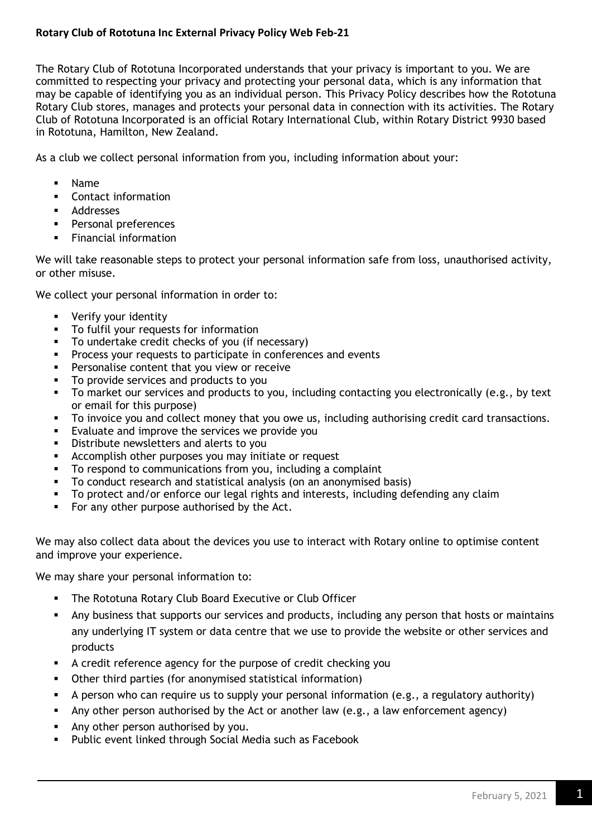## **Rotary Club of Rototuna Inc External Privacy Policy Web Feb-21**

The Rotary Club of Rototuna Incorporated understands that your privacy is important to you. We are committed to respecting your privacy and protecting your personal data, which is any information that may be capable of identifying you as an individual person. This Privacy Policy describes how the Rototuna Rotary Club stores, manages and protects your personal data in connection with its activities. The Rotary Club of Rototuna Incorporated is an official Rotary International Club, within Rotary District 9930 based in Rototuna, Hamilton, New Zealand.

As a club we collect personal information from you, including information about your:

- Name
- Contact information
- Addresses
- **•** Personal preferences
- **•** Financial information

We will take reasonable steps to protect your personal information safe from loss, unauthorised activity, or other misuse.

We collect your personal information in order to:

- Verify your identity
- To fulfil your requests for information
- To undertake credit checks of you (if necessary)
- **•** Process your requests to participate in conferences and events
- **•** Personalise content that you view or receive
- To provide services and products to you
- To market our services and products to you, including contacting you electronically (e.g., by text or email for this purpose)
- **•** To invoice you and collect money that you owe us, including authorising credit card transactions.
- Evaluate and improve the services we provide you
- **EXEDENTIFY Distribute newsletters and alerts to you**
- **EXECOMPLES** 1 Accomplish other purposes you may initiate or request
- To respond to communications from you, including a complaint
- To conduct research and statistical analysis (on an anonymised basis)
- To protect and/or enforce our legal rights and interests, including defending any claim
- For any other purpose authorised by the Act.

We may also collect data about the devices you use to interact with Rotary online to optimise content and improve your experience.

We may share your personal information to:

- The Rototuna Rotary Club Board Executive or Club Officer
- **•** Any business that supports our services and products, including any person that hosts or maintains any underlying IT system or data centre that we use to provide the website or other services and products
- A credit reference agency for the purpose of credit checking you
- Other third parties (for anonymised statistical information)
- A person who can require us to supply your personal information (e.g., a regulatory authority)
- **EXT** Any other person authorised by the Act or another law (e.g., a law enforcement agency)
- **EXECT** Any other person authorised by you.
- Public event linked through Social Media such as Facebook